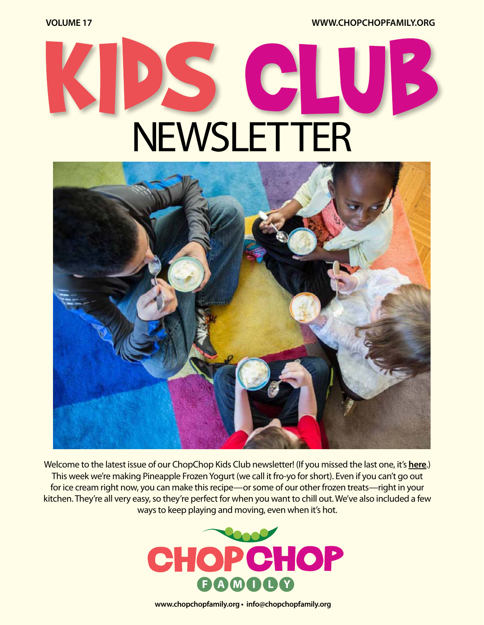**VOLUME 17 [WWW.CHOPCHOPFAMILY.ORG](https://www.chopchopfamily.org)**

# C NEWSLETTER



Welcome to the latest issue of our ChopChop Kids Club newsletter! [\(If you missed the last one, it's](https://chopchopmag.us5.list-manage.com/track/click?u=b1ea30ff4c07c4e770929e7f7&id=55d44272ce&e=a38c7c2392) **here**.) This week we're making Pineapple Frozen Yogurt (we call it fro-yo for short). Even if you can't go out for ice cream right now, you can make this recipe—or some of our other frozen treats—right in your kitchen. They're all very easy, so they're perfect for when you want to chill out. We've also included a few ways to keep playing and moving, even when it's hot.



**[www.chopchopfamily.org](https://www.chopchopfamily.org) • [info@chopchopfamily.org](mailto:info@chopchopfamily.org)**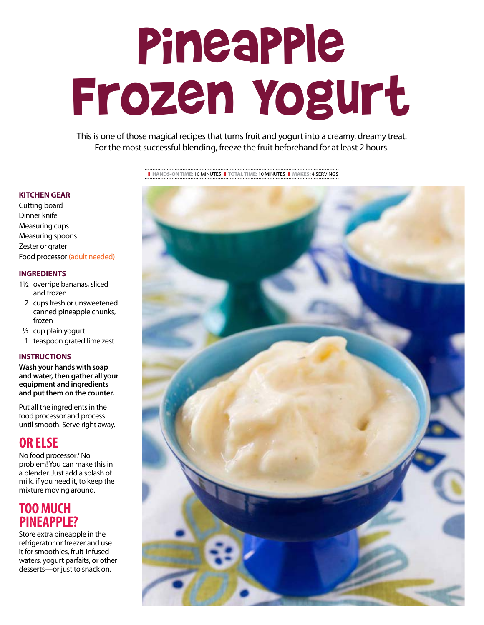## Pineapple Frozen Yogurt

This is one of those magical recipes that turns fruit and yogurt into a creamy, dreamy treat. For the most successful blending, freeze the fruit beforehand for at least 2 hours.

#### **KITCHEN GEAR**

Cutting board Dinner knife Measuring cups Measuring spoons Zester or grater Food processor (adult needed)

#### **INGREDIENTS**

- 11/2 overripe bananas, sliced and frozen
- 2 cups fresh or unsweetened canned pineapple chunks, frozen
- $1/2$  cup plain yogurt
- 1 teaspoon grated lime zest

#### **INSTRUCTIONS**

**Wash your hands with soap and water, then gather all your equipment and ingredients and put them on the counter.**

Put all the ingredients in the food processor and process until smooth. Serve right away.

#### **OR ELSE**

No food processor? No problem! You can make this in a blender. Just add a splash of milk, if you need it, to keep the mixture moving around.

#### **TOO MUCH PINEAPPLE?**

Store extra pineapple in the refrigerator or freezer and use it for smoothies, fruit-infused waters, yogurt parfaits, or other desserts—or just to snack on.



<sup>❚</sup> **HANDS-ON TIME:** 10 MINUTES❚ **TOTAL TIME:** 10 MINUTES❚ **MAKES:** 4 SERVINGS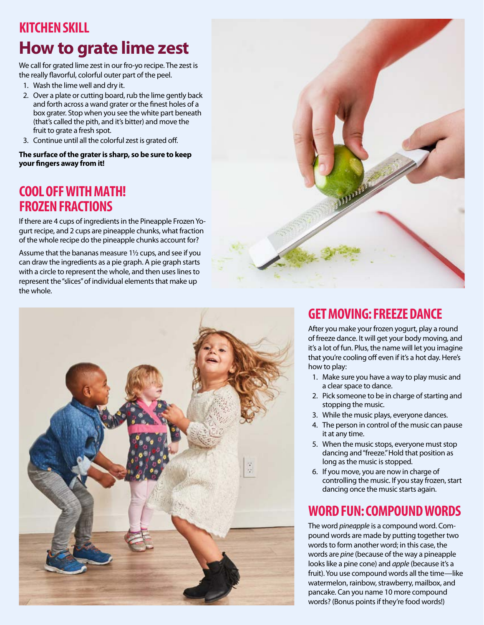## **KITCHEN SKILL How to grate lime zest**

We call for grated lime zest in our fro-yo recipe. The zest is the really flavorful, colorful outer part of the peel.

- 1. Wash the lime well and dry it.
- 2. Over a plate or cutting board, rub the lime gently back and forth across a wand grater or the finest holes of a box grater. Stop when you see the white part beneath (that's called the pith, and it's bitter) and move the fruit to grate a fresh spot.
- 3. Continue until all the colorful zest is grated off.

**The surface of the grater is sharp, so be sure to keep your fingers away from it!**

#### **COOL OFF WITH MATH! FROZEN FRACTIONS**

If there are 4 cups of ingredients in the Pineapple Frozen Yogurt recipe, and 2 cups are pineapple chunks, what fraction of the whole recipe do the pineapple chunks account for?

Assume that the bananas measure 1½ cups, and see if you can draw the ingredients as a pie graph. A pie graph starts with a circle to represent the whole, and then uses lines to represent the "slices" of individual elements that make up the whole.





#### **GET MOVING: FREEZE DANCE**

After you make your frozen yogurt, play a round of freeze dance. It will get your body moving, and it's a lot of fun. Plus, the name will let you imagine that you're cooling off even if it's a hot day. Here's how to play:

- 1. Make sure you have a way to play music and a clear space to dance.
- 2. Pick someone to be in charge of starting and stopping the music.
- 3. While the music plays, everyone dances.
- 4. The person in control of the music can pause it at any time.
- 5. When the music stops, everyone must stop dancing and "freeze." Hold that position as long as the music is stopped.
- 6. If you move, you are now in charge of controlling the music. If you stay frozen, start dancing once the music starts again.

#### **WORD FUN: COMPOUND WORDS**

The word *pineapple* is a compound word. Compound words are made by putting together two words to form another word; in this case, the words are *pine* (because of the way a pineapple looks like a pine cone) and *apple* (because it's a fruit). You use compound words all the time—like watermelon, rainbow, strawberry, mailbox, and pancake. Can you name 10 more compound words? (Bonus points if they're food words!)